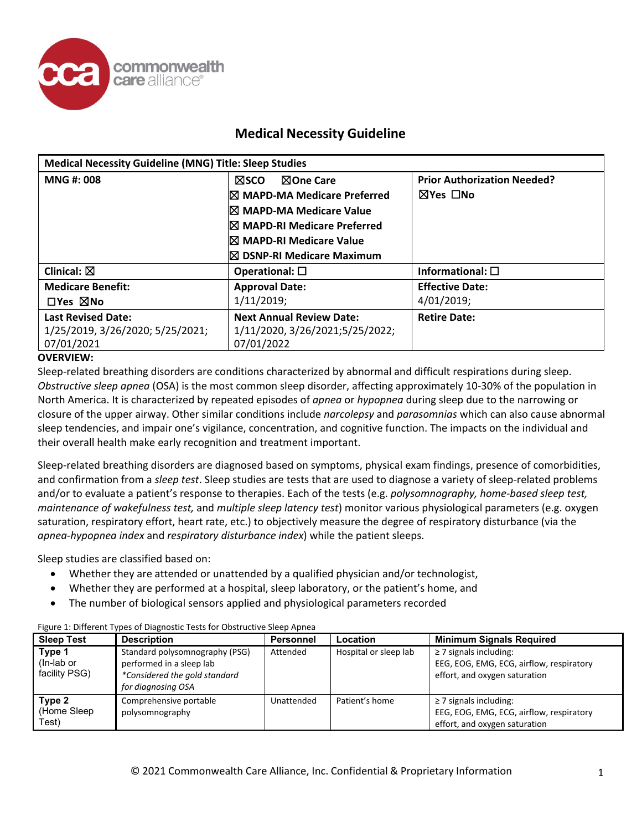

| <b>Medical Necessity Guideline (MNG) Title: Sleep Studies</b> |                                        |                                    |
|---------------------------------------------------------------|----------------------------------------|------------------------------------|
| <b>MNG#: 008</b>                                              | ⊠One Care<br><b>NSCO</b>               | <b>Prior Authorization Needed?</b> |
|                                                               | $\boxtimes$ MAPD-MA Medicare Preferred | ⊠Yes □No                           |
|                                                               | <sup>I</sup> ⊠ MAPD-MA Medicare Value  |                                    |
|                                                               | $\boxtimes$ MAPD-RI Medicare Preferred |                                    |
|                                                               | <sup>I</sup> ⊠ MAPD-RI Medicare Value  |                                    |
|                                                               | $\boxtimes$ DSNP-RI Medicare Maximum   |                                    |
| Clinical: $\boxtimes$                                         | Operational: $\square$                 | Informational: $\square$           |
| <b>Medicare Benefit:</b>                                      | <b>Approval Date:</b>                  | <b>Effective Date:</b>             |
| $\Box$ Yes $\boxtimes$ No                                     | 1/11/2019;                             | 4/01/2019;                         |
| <b>Last Revised Date:</b>                                     | <b>Next Annual Review Date:</b>        | <b>Retire Date:</b>                |
| 1/25/2019, 3/26/2020; 5/25/2021;                              | 1/11/2020, 3/26/2021;5/25/2022;        |                                    |
| 07/01/2021                                                    | 07/01/2022                             |                                    |

### **OVERVIEW:**

Sleep-related breathing disorders are conditions characterized by abnormal and difficult respirations during sleep. *Obstructive sleep apnea* (OSA) is the most common sleep disorder, affecting approximately 10-30% of the population in North America. It is characterized by repeated episodes of *apnea* or *hypopnea* during sleep due to the narrowing or closure of the upper airway. Other similar conditions include *narcolepsy* and *parasomnias* which can also cause abnormal sleep tendencies, and impair one's vigilance, concentration, and cognitive function. The impacts on the individual and their overall health make early recognition and treatment important.

Sleep-related breathing disorders are diagnosed based on symptoms, physical exam findings, presence of comorbidities, and confirmation from a *sleep test*. Sleep studies are tests that are used to diagnose a variety of sleep-related problems and/or to evaluate a patient's response to therapies. Each of the tests (e.g. *polysomnography, home-based sleep test, maintenance of wakefulness test,* and *multiple sleep latency test*) monitor various physiological parameters (e.g. oxygen saturation, respiratory effort, heart rate, etc.) to objectively measure the degree of respiratory disturbance (via the *apnea-hypopnea index* and *respiratory disturbance index*) while the patient sleeps.

Sleep studies are classified based on:

- Whether they are attended or unattended by a qualified physician and/or technologist,
- Whether they are performed at a hospital, sleep laboratory, or the patient's home, and
- The number of biological sensors applied and physiological parameters recorded

| <b>Sleep Test</b>                     | <b>Description</b>                                                                                                | <b>Personnel</b> | Location              | <b>Minimum Signals Required</b>                                                                          |
|---------------------------------------|-------------------------------------------------------------------------------------------------------------------|------------------|-----------------------|----------------------------------------------------------------------------------------------------------|
| Type 1<br>(In-lab or<br>facility PSG) | Standard polysomnography (PSG)<br>performed in a sleep lab<br>*Considered the gold standard<br>for diagnosing OSA | Attended         | Hospital or sleep lab | $\geq$ 7 signals including:<br>EEG, EOG, EMG, ECG, airflow, respiratory<br>effort, and oxygen saturation |
| Type 2<br>(Home Sleep<br>(Test        | Comprehensive portable<br>polysomnography                                                                         | Unattended       | Patient's home        | $\geq$ 7 signals including:<br>EEG, EOG, EMG, ECG, airflow, respiratory<br>effort, and oxygen saturation |

#### Figure 1: Different Types of Diagnostic Tests for Obstructive Sleep Apnea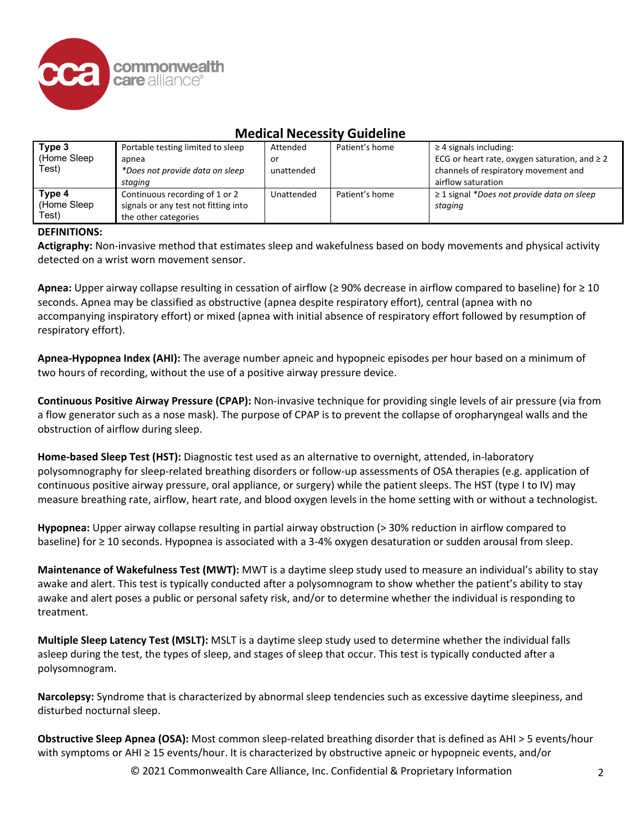

| Type 3<br>(Home Sleep<br>Test)  | Portable testing limited to sleep<br>apnea<br>*Does not provide data on sleep<br>staging       | Attended<br>or<br>unattended | Patient's home | $\geq$ 4 signals including:<br>ECG or heart rate, oxygen saturation, and $\geq 2$<br>channels of respiratory movement and<br>airflow saturation |
|---------------------------------|------------------------------------------------------------------------------------------------|------------------------------|----------------|-------------------------------------------------------------------------------------------------------------------------------------------------|
| Type 4<br>(Home Sleep)<br>Test) | Continuous recording of 1 or 2<br>signals or any test not fitting into<br>the other categories | Unattended                   | Patient's home | $\geq$ 1 signal *Does not provide data on sleep<br>staging                                                                                      |

### **DEFINITIONS:**

**Actigraphy:** Non-invasive method that estimates sleep and wakefulness based on body movements and physical activity detected on a wrist worn movement sensor.

**Apnea:** Upper airway collapse resulting in cessation of airflow (≥ 90% decrease in airflow compared to baseline) for ≥ 10 seconds. Apnea may be classified as obstructive (apnea despite respiratory effort), central (apnea with no accompanying inspiratory effort) or mixed (apnea with initial absence of respiratory effort followed by resumption of respiratory effort).

**Apnea-Hypopnea Index (AHI):** The average number apneic and hypopneic episodes per hour based on a minimum of two hours of recording, without the use of a positive airway pressure device.

**Continuous Positive Airway Pressure (CPAP):** Non-invasive technique for providing single levels of air pressure (via from a flow generator such as a nose mask). The purpose of CPAP is to prevent the collapse of oropharyngeal walls and the obstruction of airflow during sleep.

**Home-based Sleep Test (HST):** Diagnostic test used as an alternative to overnight, attended, in-laboratory polysomnography for sleep-related breathing disorders or follow-up assessments of OSA therapies (e.g. application of continuous positive airway pressure, oral appliance, or surgery) while the patient sleeps. The HST (type I to IV) may measure breathing rate, airflow, heart rate, and blood oxygen levels in the home setting with or without a technologist.

**Hypopnea:** Upper airway collapse resulting in partial airway obstruction (> 30% reduction in airflow compared to baseline) for ≥ 10 seconds. Hypopnea is associated with a 3-4% oxygen desaturation or sudden arousal from sleep.

**Maintenance of Wakefulness Test (MWT):** MWT is a daytime sleep study used to measure an individual's ability to stay awake and alert. This test is typically conducted after a polysomnogram to show whether the patient's ability to stay awake and alert poses a public or personal safety risk, and/or to determine whether the individual is responding to treatment.

**Multiple Sleep Latency Test (MSLT):** MSLT is a daytime sleep study used to determine whether the individual falls asleep during the test, the types of sleep, and stages of sleep that occur. This test is typically conducted after a polysomnogram.

**Narcolepsy:** Syndrome that is characterized by abnormal sleep tendencies such as excessive daytime sleepiness, and disturbed nocturnal sleep.

**Obstructive Sleep Apnea (OSA):** Most common sleep-related breathing disorder that is defined as AHI > 5 events/hour with symptoms or AHI ≥ 15 events/hour. It is characterized by obstructive apneic or hypopneic events, and/or

© 2021 Commonwealth Care Alliance, Inc. Confidential & Proprietary Information 2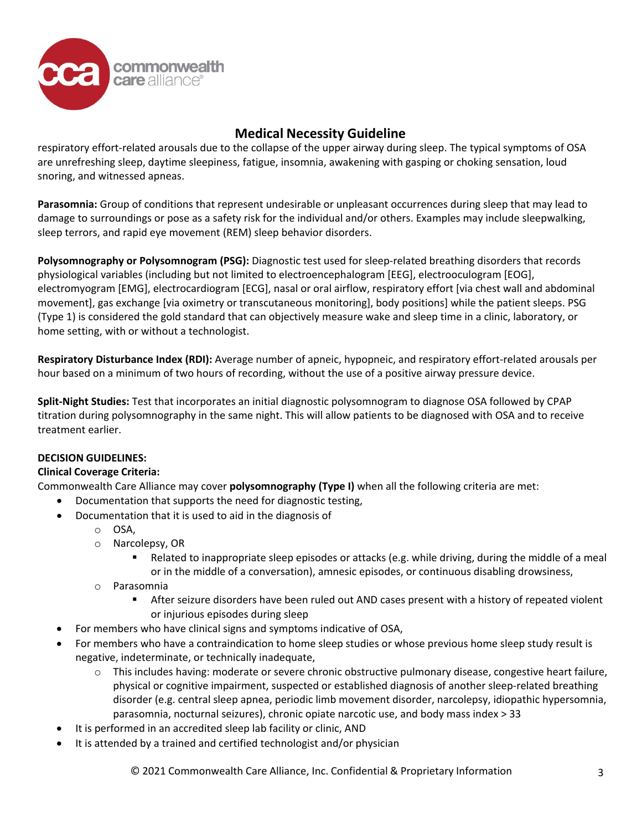

respiratory effort-related arousals due to the collapse of the upper airway during sleep. The typical symptoms of OSA are unrefreshing sleep, daytime sleepiness, fatigue, insomnia, awakening with gasping or choking sensation, loud snoring, and witnessed apneas.

**Parasomnia:** Group of conditions that represent undesirable or unpleasant occurrences during sleep that may lead to damage to surroundings or pose as a safety risk for the individual and/or others. Examples may include sleepwalking, sleep terrors, and rapid eye movement (REM) sleep behavior disorders.

**Polysomnography or Polysomnogram (PSG):** Diagnostic test used for sleep-related breathing disorders that records physiological variables (including but not limited to electroencephalogram [EEG], electrooculogram [EOG], electromyogram [EMG], electrocardiogram [ECG], nasal or oral airflow, respiratory effort [via chest wall and abdominal movement], gas exchange [via oximetry or transcutaneous monitoring], body positions] while the patient sleeps. PSG (Type 1) is considered the gold standard that can objectively measure wake and sleep time in a clinic, laboratory, or home setting, with or without a technologist.

**Respiratory Disturbance Index (RDI):** Average number of apneic, hypopneic, and respiratory effort-related arousals per hour based on a minimum of two hours of recording, without the use of a positive airway pressure device.

**Split-Night Studies:** Test that incorporates an initial diagnostic polysomnogram to diagnose OSA followed by CPAP titration during polysomnography in the same night. This will allow patients to be diagnosed with OSA and to receive treatment earlier.

## **DECISION GUIDELINES:**

### **Clinical Coverage Criteria:**

Commonwealth Care Alliance may cover **polysomnography (Type I)** when all the following criteria are met:

- Documentation that supports the need for diagnostic testing,
- Documentation that it is used to aid in the diagnosis of
	- o OSA,
	- o Narcolepsy, OR
		- Related to inappropriate sleep episodes or attacks (e.g. while driving, during the middle of a meal or in the middle of a conversation), amnesic episodes, or continuous disabling drowsiness,
	- o Parasomnia<br>Afte
		- After seizure disorders have been ruled out AND cases present with a history of repeated violent or injurious episodes during sleep
- For members who have clinical signs and symptoms indicative of OSA,
- For members who have a contraindication to home sleep studies or whose previous home sleep study result is negative, indeterminate, or technically inadequate,
	- $\circ$  This includes having: moderate or severe chronic obstructive pulmonary disease, congestive heart failure, physical or cognitive impairment, suspected or established diagnosis of another sleep-related breathing disorder (e.g. central sleep apnea, periodic limb movement disorder, narcolepsy, idiopathic hypersomnia, parasomnia, nocturnal seizures), chronic opiate narcotic use, and body mass index > 33
- It is performed in an accredited sleep lab facility or clinic, AND
- It is attended by a trained and certified technologist and/or physician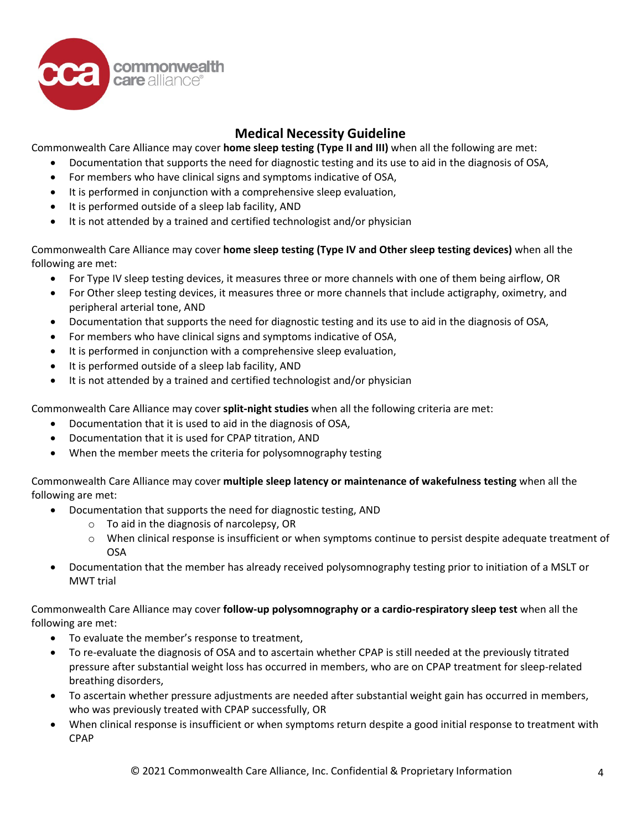

Commonwealth Care Alliance may cover **home sleep testing (Type II and III)** when all the following are met:

- Documentation that supports the need for diagnostic testing and its use to aid in the diagnosis of OSA,
- For members who have clinical signs and symptoms indicative of OSA,
- It is performed in conjunction with a comprehensive sleep evaluation,
- It is performed outside of a sleep lab facility, AND
- It is not attended by a trained and certified technologist and/or physician

Commonwealth Care Alliance may cover **home sleep testing (Type IV and Other sleep testing devices)** when all the following are met:

- For Type IV sleep testing devices, it measures three or more channels with one of them being airflow, OR
- For Other sleep testing devices, it measures three or more channels that include actigraphy, oximetry, and peripheral arterial tone, AND
- Documentation that supports the need for diagnostic testing and its use to aid in the diagnosis of OSA,
- For members who have clinical signs and symptoms indicative of OSA,
- It is performed in conjunction with a comprehensive sleep evaluation,
- It is performed outside of a sleep lab facility, AND
- It is not attended by a trained and certified technologist and/or physician

Commonwealth Care Alliance may cover **split-night studies** when all the following criteria are met:

- Documentation that it is used to aid in the diagnosis of OSA,
- Documentation that it is used for CPAP titration, AND
- When the member meets the criteria for polysomnography testing

Commonwealth Care Alliance may cover **multiple sleep latency or maintenance of wakefulness testing** when all the following are met:

- Documentation that supports the need for diagnostic testing, AND
	- o To aid in the diagnosis of narcolepsy, OR
	- o When clinical response is insufficient or when symptoms continue to persist despite adequate treatment of OSA
- Documentation that the member has already received polysomnography testing prior to initiation of a MSLT or MWT trial

Commonwealth Care Alliance may cover **follow-up polysomnography or a cardio-respiratory sleep test** when all the following are met:

- To evaluate the member's response to treatment,
- To re-evaluate the diagnosis of OSA and to ascertain whether CPAP is still needed at the previously titrated pressure after substantial weight loss has occurred in members, who are on CPAP treatment for sleep-related breathing disorders,
- To ascertain whether pressure adjustments are needed after substantial weight gain has occurred in members, who was previously treated with CPAP successfully, OR
- When clinical response is insufficient or when symptoms return despite a good initial response to treatment with CPAP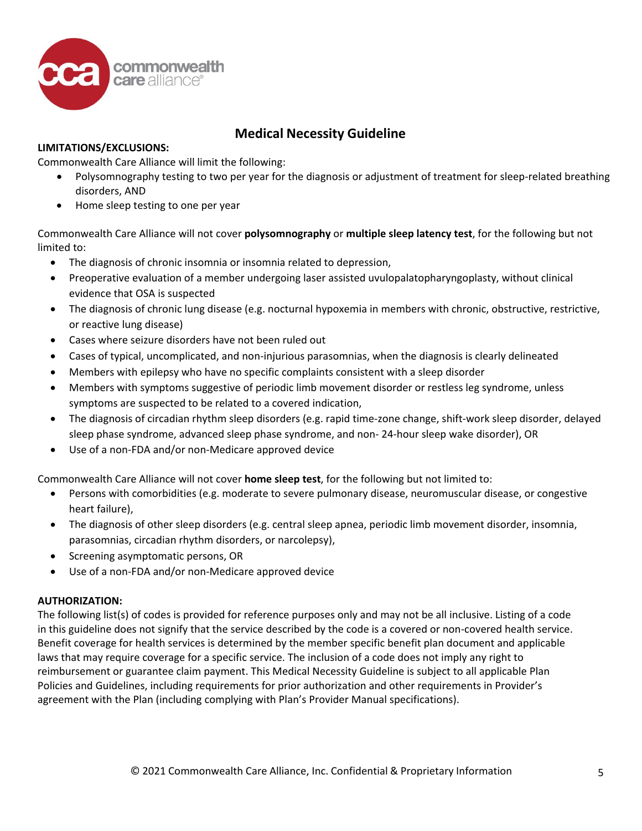

## **LIMITATIONS/EXCLUSIONS:**

Commonwealth Care Alliance will limit the following:

- Polysomnography testing to two per year for the diagnosis or adjustment of treatment for sleep-related breathing disorders, AND
- Home sleep testing to one per year

Commonwealth Care Alliance will not cover **polysomnography** or **multiple sleep latency test**, for the following but not limited to:

- The diagnosis of chronic insomnia or insomnia related to depression,
- Preoperative evaluation of a member undergoing laser assisted uvulopalatopharyngoplasty, without clinical evidence that OSA is suspected
- The diagnosis of chronic lung disease (e.g. nocturnal hypoxemia in members with chronic, obstructive, restrictive, or reactive lung disease)
- Cases where seizure disorders have not been ruled out
- Cases of typical, uncomplicated, and non-injurious parasomnias, when the diagnosis is clearly delineated
- Members with epilepsy who have no specific complaints consistent with a sleep disorder
- Members with symptoms suggestive of periodic limb movement disorder or restless leg syndrome, unless symptoms are suspected to be related to a covered indication,
- The diagnosis of circadian rhythm sleep disorders (e.g. rapid time-zone change, shift-work sleep disorder, delayed sleep phase syndrome, advanced sleep phase syndrome, and non- 24-hour sleep wake disorder), OR
- Use of a non-FDA and/or non-Medicare approved device

Commonwealth Care Alliance will not cover **home sleep test**, for the following but not limited to:

- Persons with comorbidities (e.g. moderate to severe pulmonary disease, neuromuscular disease, or congestive heart failure),
- The diagnosis of other sleep disorders (e.g. central sleep apnea, periodic limb movement disorder, insomnia, parasomnias, circadian rhythm disorders, or narcolepsy),
- Screening asymptomatic persons, OR
- Use of a non-FDA and/or non-Medicare approved device

### **AUTHORIZATION:**

The following list(s) of codes is provided for reference purposes only and may not be all inclusive. Listing of a code in this guideline does not signify that the service described by the code is a covered or non-covered health service. Benefit coverage for health services is determined by the member specific benefit plan document and applicable laws that may require coverage for a specific service. The inclusion of a code does not imply any right to reimbursement or guarantee claim payment. This Medical Necessity Guideline is subject to all applicable Plan Policies and Guidelines, including requirements for prior authorization and other requirements in Provider's agreement with the Plan (including complying with Plan's Provider Manual specifications).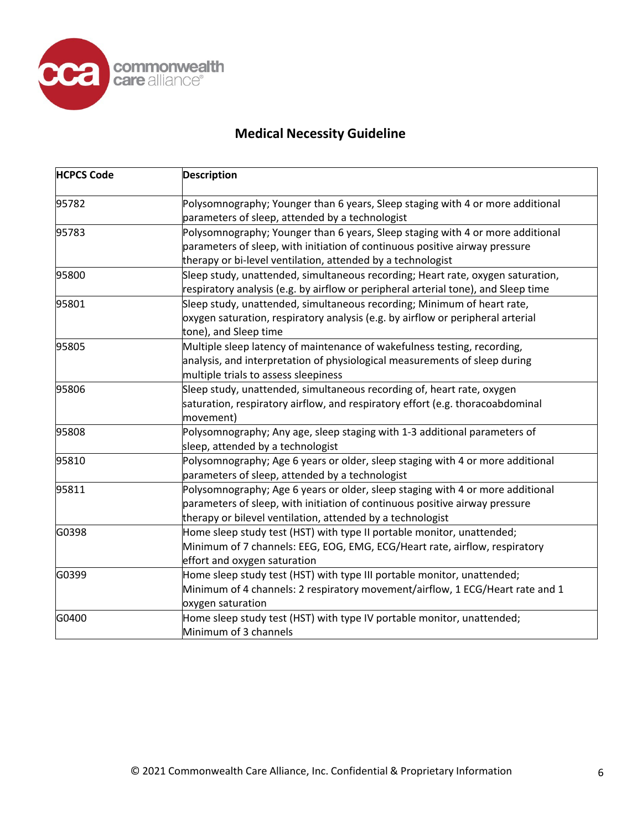

| <b>HCPCS Code</b> | <b>Description</b>                                                                 |
|-------------------|------------------------------------------------------------------------------------|
| 95782             | Polysomnography; Younger than 6 years, Sleep staging with 4 or more additional     |
|                   | parameters of sleep, attended by a technologist                                    |
| 95783             | Polysomnography; Younger than 6 years, Sleep staging with 4 or more additional     |
|                   | parameters of sleep, with initiation of continuous positive airway pressure        |
|                   | therapy or bi-level ventilation, attended by a technologist                        |
| 95800             | Sleep study, unattended, simultaneous recording; Heart rate, oxygen saturation,    |
|                   | respiratory analysis (e.g. by airflow or peripheral arterial tone), and Sleep time |
| 95801             | Sleep study, unattended, simultaneous recording; Minimum of heart rate,            |
|                   | oxygen saturation, respiratory analysis (e.g. by airflow or peripheral arterial    |
|                   | tone), and Sleep time                                                              |
| 95805             | Multiple sleep latency of maintenance of wakefulness testing, recording,           |
|                   | analysis, and interpretation of physiological measurements of sleep during         |
|                   | multiple trials to assess sleepiness                                               |
| 95806             | Sleep study, unattended, simultaneous recording of, heart rate, oxygen             |
|                   | saturation, respiratory airflow, and respiratory effort (e.g. thoracoabdominal     |
|                   | movement)                                                                          |
| 95808             | Polysomnography; Any age, sleep staging with 1-3 additional parameters of          |
|                   | sleep, attended by a technologist                                                  |
| 95810             | Polysomnography; Age 6 years or older, sleep staging with 4 or more additional     |
|                   | parameters of sleep, attended by a technologist                                    |
| 95811             | Polysomnography; Age 6 years or older, sleep staging with 4 or more additional     |
|                   | parameters of sleep, with initiation of continuous positive airway pressure        |
|                   | therapy or bilevel ventilation, attended by a technologist                         |
| G0398             | Home sleep study test (HST) with type II portable monitor, unattended;             |
|                   | Minimum of 7 channels: EEG, EOG, EMG, ECG/Heart rate, airflow, respiratory         |
|                   | effort and oxygen saturation                                                       |
| G0399             | Home sleep study test (HST) with type III portable monitor, unattended;            |
|                   | Minimum of 4 channels: 2 respiratory movement/airflow, 1 ECG/Heart rate and 1      |
|                   | oxygen saturation                                                                  |
| G0400             | Home sleep study test (HST) with type IV portable monitor, unattended;             |
|                   | Minimum of 3 channels                                                              |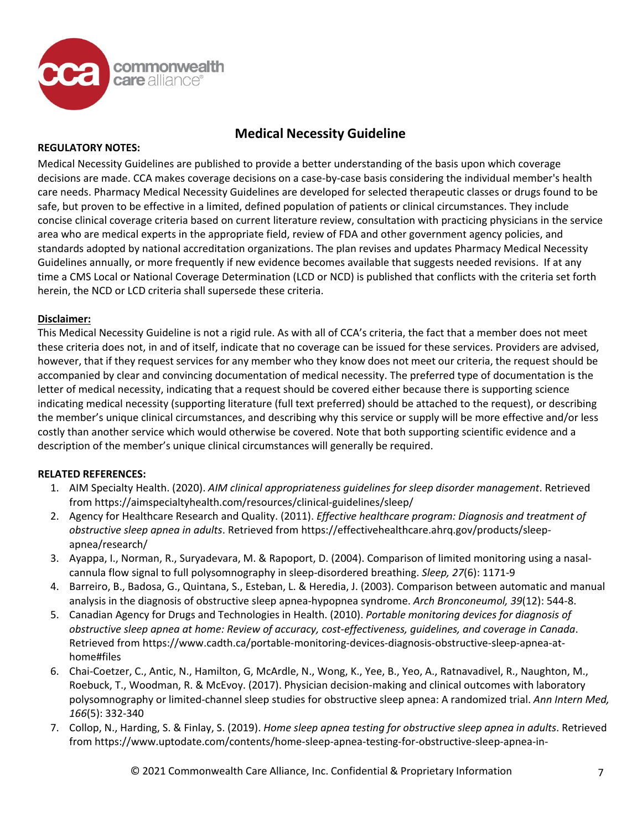

### **REGULATORY NOTES:**

Medical Necessity Guidelines are published to provide a better understanding of the basis upon which coverage decisions are made. CCA makes coverage decisions on a case-by-case basis considering the individual member's health care needs. Pharmacy Medical Necessity Guidelines are developed for selected therapeutic classes or drugs found to be safe, but proven to be effective in a limited, defined population of patients or clinical circumstances. They include concise clinical coverage criteria based on current literature review, consultation with practicing physicians in the service area who are medical experts in the appropriate field, review of FDA and other government agency policies, and standards adopted by national accreditation organizations. The plan revises and updates Pharmacy Medical Necessity Guidelines annually, or more frequently if new evidence becomes available that suggests needed revisions. If at any time a CMS Local or National Coverage Determination (LCD or NCD) is published that conflicts with the criteria set forth herein, the NCD or LCD criteria shall supersede these criteria.

## **Disclaimer:**

This Medical Necessity Guideline is not a rigid rule. As with all of CCA's criteria, the fact that a member does not meet these criteria does not, in and of itself, indicate that no coverage can be issued for these services. Providers are advised, however, that if they request services for any member who they know does not meet our criteria, the request should be accompanied by clear and convincing documentation of medical necessity. The preferred type of documentation is the letter of medical necessity, indicating that a request should be covered either because there is supporting science indicating medical necessity (supporting literature (full text preferred) should be attached to the request), or describing the member's unique clinical circumstances, and describing why this service or supply will be more effective and/or less costly than another service which would otherwise be covered. Note that both supporting scientific evidence and a description of the member's unique clinical circumstances will generally be required.

## **RELATED REFERENCES:**

- 1. AIM Specialty Health. (2020). *AIM clinical appropriateness guidelines for sleep disorder management*. Retrieved from https://aimspecialtyhealth.com/resources/clinical-guidelines/sleep/
- 2. Agency for Healthcare Research and Quality. (2011). *Effective healthcare program: Diagnosis and treatment of obstructive sleep apnea in adults*. Retrieved from https://effectivehealthcare.ahrq.gov/products/sleepapnea/research/
- 3. Ayappa, I., Norman, R., Suryadevara, M. & Rapoport, D. (2004). Comparison of limited monitoring using a nasalcannula flow signal to full polysomnography in sleep-disordered breathing. *Sleep, 27*(6): 1171-9
- 4. Barreiro, B., Badosa, G., Quintana, S., Esteban, L. & Heredia, J. (2003). Comparison between automatic and manual analysis in the diagnosis of obstructive sleep apnea-hypopnea syndrome. *Arch Bronconeumol, 39*(12): 544-8.
- 5. Canadian Agency for Drugs and Technologies in Health. (2010). *Portable monitoring devices for diagnosis of obstructive sleep apnea at home: Review of accuracy, cost-effectiveness, guidelines, and coverage in Canada*. Retrieved from https://www.cadth.ca/portable-monitoring-devices-diagnosis-obstructive-sleep-apnea-athome#files
- 6. Chai-Coetzer, C., Antic, N., Hamilton, G, McArdle, N., Wong, K., Yee, B., Yeo, A., Ratnavadivel, R., Naughton, M., Roebuck, T., Woodman, R. & McEvoy. (2017). Physician decision-making and clinical outcomes with laboratory polysomnography or limited-channel sleep studies for obstructive sleep apnea: A randomized trial. *Ann Intern Med, 166*(5): 332-340
- 7. Collop, N., Harding, S. & Finlay, S. (2019). *Home sleep apnea testing for obstructive sleep apnea in adults*. Retrieved from https://www.uptodate.com/contents/home-sleep-apnea-testing-for-obstructive-sleep-apnea-in-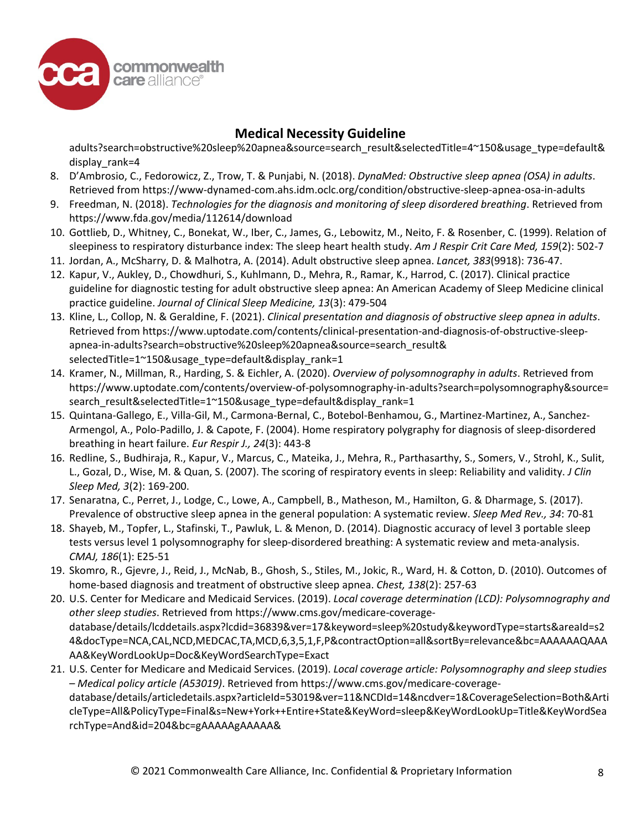

adults?search=obstructive%20sleep%20apnea&source=search\_result&selectedTitle=4~150&usage\_type=default& display rank=4

- 8. D'Ambrosio, C., Fedorowicz, Z., Trow, T. & Punjabi, N. (2018). *DynaMed: Obstructive sleep apnea (OSA) in adults*. Retrieved from https://www-dynamed-com.ahs.idm.oclc.org/condition/obstructive-sleep-apnea-osa-in-adults
- 9. Freedman, N. (2018). *Technologies for the diagnosis and monitoring of sleep disordered breathing*. Retrieved from https://www.fda.gov/media/112614/download
- 10. Gottlieb, D., Whitney, C., Bonekat, W., Iber, C., James, G., Lebowitz, M., Neito, F. & Rosenber, C. (1999). Relation of sleepiness to respiratory disturbance index: The sleep heart health study. *Am J Respir Crit Care Med, 159*(2): 502-7
- 11. Jordan, A., McSharry, D. & Malhotra, A. (2014). Adult obstructive sleep apnea. *Lancet, 383*(9918): 736-47.
- 12. Kapur, V., Aukley, D., Chowdhuri, S., Kuhlmann, D., Mehra, R., Ramar, K., Harrod, C. (2017). Clinical practice guideline for diagnostic testing for adult obstructive sleep apnea: An American Academy of Sleep Medicine clinical practice guideline. *Journal of Clinical Sleep Medicine, 13*(3): 479-504
- 13. Kline, L., Collop, N. & Geraldine, F. (2021). *Clinical presentation and diagnosis of obstructive sleep apnea in adults*. Retrieved from https://www.uptodate.com/contents/clinical-presentation-and-diagnosis-of-obstructive-sleepapnea-in-adults?search=obstructive%20sleep%20apnea&source=search\_result& selectedTitle=1~150&usage\_type=default&display\_rank=1
- 14. Kramer, N., Millman, R., Harding, S. & Eichler, A. (2020). *Overview of polysomnography in adults*. Retrieved from https://www.uptodate.com/contents/overview-of-polysomnography-in-adults?search=polysomnography&source= search\_result&selectedTitle=1~150&usage\_type=default&display\_rank=1
- 15. Quintana-Gallego, E., Villa-Gil, M., Carmona-Bernal, C., Botebol-Benhamou, G., Martinez-Martinez, A., Sanchez-Armengol, A., Polo-Padillo, J. & Capote, F. (2004). Home respiratory polygraphy for diagnosis of sleep-disordered breathing in heart failure. *Eur Respir J., 24*(3): 443-8
- 16. Redline, S., Budhiraja, R., Kapur, V., Marcus, C., Mateika, J., Mehra, R., Parthasarthy, S., Somers, V., Strohl, K., Sulit, L., Gozal, D., Wise, M. & Quan, S. (2007). The scoring of respiratory events in sleep: Reliability and validity. *J Clin Sleep Med, 3*(2): 169-200.
- 17. Senaratna, C., Perret, J., Lodge, C., Lowe, A., Campbell, B., Matheson, M., Hamilton, G. & Dharmage, S. (2017). Prevalence of obstructive sleep apnea in the general population: A systematic review. *Sleep Med Rev., 34*: 70-81
- 18. Shayeb, M., Topfer, L., Stafinski, T., Pawluk, L. & Menon, D. (2014). Diagnostic accuracy of level 3 portable sleep tests versus level 1 polysomnography for sleep-disordered breathing: A systematic review and meta-analysis. *CMAJ, 186*(1): E25-51
- 19. Skomro, R., Gjevre, J., Reid, J., McNab, B., Ghosh, S., Stiles, M., Jokic, R., Ward, H. & Cotton, D. (2010). Outcomes of home-based diagnosis and treatment of obstructive sleep apnea. *Chest, 138*(2): 257-63
- 20. U.S. Center for Medicare and Medicaid Services. (2019). *Local coverage determination (LCD): Polysomnography and other sleep studies*. Retrieved from https://www.cms.gov/medicare-coveragedatabase/details/lcddetails.aspx?lcdid=36839&ver=17&keyword=sleep%20study&keywordType=starts&areaId=s2 4&docType=NCA,CAL,NCD,MEDCAC,TA,MCD,6,3,5,1,F,P&contractOption=all&sortBy=relevance&bc=AAAAAAQAAA AA&KeyWordLookUp=Doc&KeyWordSearchType=Exact
- 21. U.S. Center for Medicare and Medicaid Services. (2019). *Local coverage article: Polysomnography and sleep studies – Medical policy article (A53019)*. Retrieved from https://www.cms.gov/medicare-coveragedatabase/details/articledetails.aspx?articleId=53019&ver=11&NCDId=14&ncdver=1&CoverageSelection=Both&Arti cleType=All&PolicyType=Final&s=New+York++Entire+State&KeyWord=sleep&KeyWordLookUp=Title&KeyWordSea rchType=And&id=204&bc=gAAAAAgAAAAA&